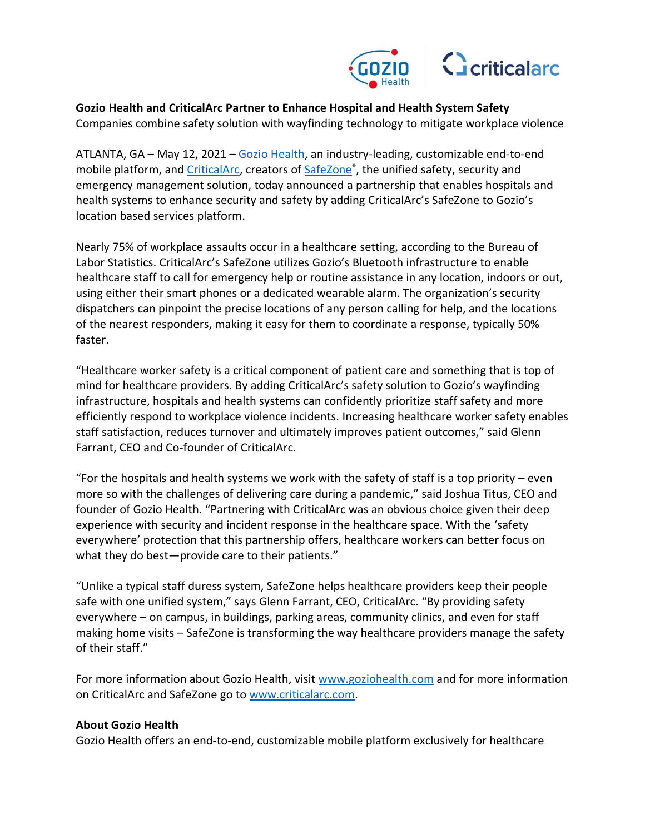

**Gozio Health and CriticalArc Partner to Enhance Hospital and Health System Safety**  Companies combine safety solution with wayfinding technology to mitigate workplace violence

ATLANTA, GA – May 12, 2021 – [Gozio Health,](https://www.goziohealth.com/) an industry-leading, customizable end-to-end mobile platform, and *CriticalArc*, creators of [SafeZone](https://www.criticalarc.com/industries/healthcare/)<sup>®</sup>, the unified safety, security and emergency management solution, today announced a partnership that enables hospitals and health systems to enhance security and safety by adding CriticalArc's SafeZone to Gozio's location based services platform.

Nearly 75% of workplace assaults occur in a healthcare setting, according to the Bureau of Labor Statistics. CriticalArc's SafeZone utilizes Gozio's Bluetooth infrastructure to enable healthcare staff to call for emergency help or routine assistance in any location, indoors or out, using either their smart phones or a dedicated wearable alarm. The organization's security dispatchers can pinpoint the precise locations of any person calling for help, and the locations of the nearest responders, making it easy for them to coordinate a response, typically 50% faster.

"Healthcare worker safety is a critical component of patient care and something that is top of mind for healthcare providers. By adding CriticalArc's safety solution to Gozio's wayfinding infrastructure, hospitals and health systems can confidently prioritize staff safety and more efficiently respond to workplace violence incidents. Increasing healthcare worker safety enables staff satisfaction, reduces turnover and ultimately improves patient outcomes," said Glenn Farrant, CEO and Co-founder of CriticalArc.

"For the hospitals and health systems we work with the safety of staff is a top priority  $-$  even more so with the challenges of delivering care during a pandemic," said Joshua Titus, CEO and founder of Gozio Health. "Partnering with CriticalArc was an obvious choice given their deep experience with security and incident response in the healthcare space. With the 'safety everywhere' protection that this partnership offers, healthcare workers can better focus on what they do best—provide care to their patients."

"Unlike a typical staff duress system, SafeZone helps healthcare providers keep their people safe with one unified system," says Glenn Farrant, CEO, CriticalArc. "By providing safety everywhere – on campus, in buildings, parking areas, community clinics, and even for staff making home visits – SafeZone is transforming the way healthcare providers manage the safety of their staff."

For more information about Gozio Health, visit [www.goziohealth.com](https://www.goziohealth.com/) and for more information on CriticalArc and SafeZone go t[o www.criticalarc.com.](http://www.criticalarc.com/)

## **About Gozio Health**

Gozio Health offers an end-to-end, customizable mobile platform exclusively for healthcare